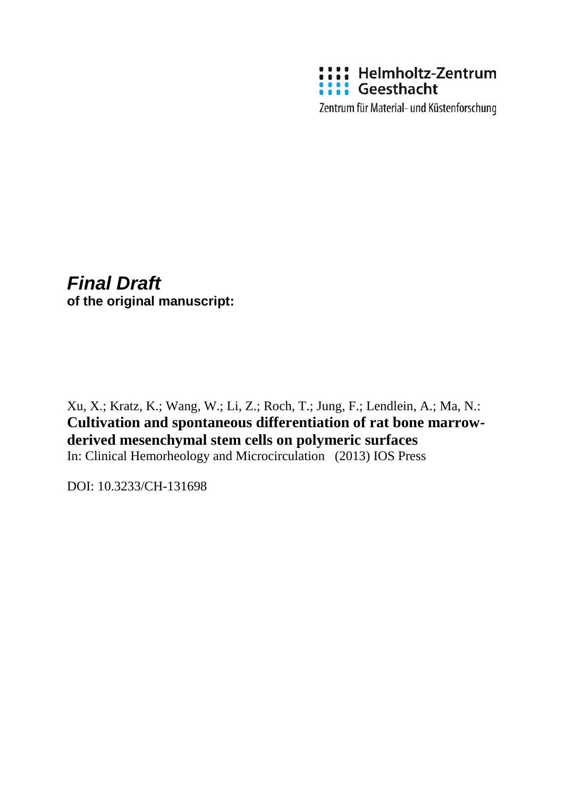

Zentrum für Material- und Küstenforschung

# *Final Draft* **of the original manuscript:**

Xu, X.; Kratz, K.; Wang, W.; Li, Z.; Roch, T.; Jung, F.; Lendlein, A.; Ma, N.: **Cultivation and spontaneous differentiation of rat bone marrowderived mesenchymal stem cells on polymeric surfaces** In: Clinical Hemorheology and Microcirculation (2013) IOS Press

DOI: 10.3233/CH-131698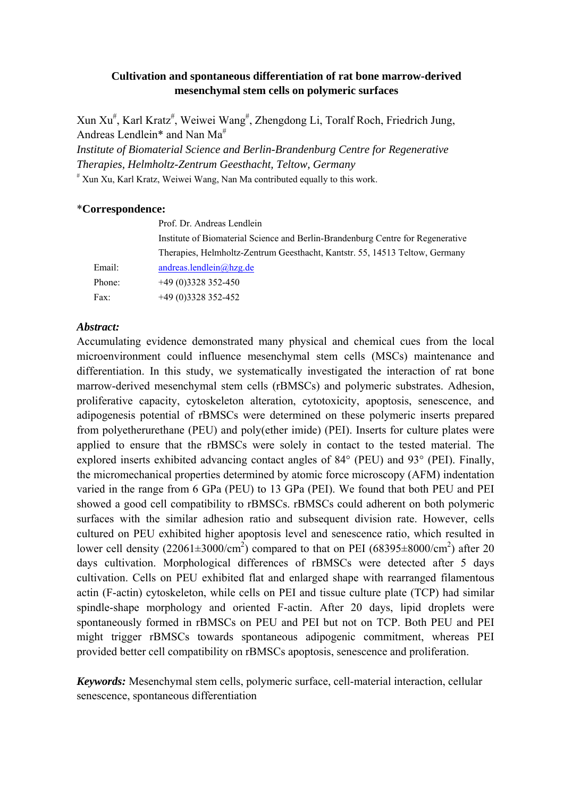# **Cultivation and spontaneous differentiation of rat bone marrow-derived mesenchymal stem cells on polymeric surfaces**

Xun Xu<sup>#</sup>, Karl Kratz<sup>#</sup>, Weiwei Wang<sup>#</sup>, Zhengdong Li, Toralf Roch, Friedrich Jung, Andreas Lendlein\* and Nan Ma<sup>#</sup>

*Institute of Biomaterial Science and Berlin-Brandenburg Centre for Regenerative Therapies, Helmholtz-Zentrum Geesthacht, Teltow, Germany* 

# Xun Xu, Karl Kratz, Weiwei Wang, Nan Ma contributed equally to this work.

# \***Correspondence:**

|        | Prof. Dr. Andreas Lendlein                                                      |
|--------|---------------------------------------------------------------------------------|
|        | Institute of Biomaterial Science and Berlin-Brandenburg Centre for Regenerative |
|        | Therapies, Helmholtz-Zentrum Geesthacht, Kantstr. 55, 14513 Teltow, Germany     |
| Email: | andreas.lendlein@hzg.de                                                         |
| Phone: | $+49(0)3328352-450$                                                             |
| Fax:   | $+49(0)3328352-452$                                                             |

# *Abstract:*

Accumulating evidence demonstrated many physical and chemical cues from the local microenvironment could influence mesenchymal stem cells (MSCs) maintenance and differentiation. In this study, we systematically investigated the interaction of rat bone marrow-derived mesenchymal stem cells (rBMSCs) and polymeric substrates. Adhesion, proliferative capacity, cytoskeleton alteration, cytotoxicity, apoptosis, senescence, and adipogenesis potential of rBMSCs were determined on these polymeric inserts prepared from polyetherurethane (PEU) and poly(ether imide) (PEI). Inserts for culture plates were applied to ensure that the rBMSCs were solely in contact to the tested material. The explored inserts exhibited advancing contact angles of 84° (PEU) and 93° (PEI). Finally, the micromechanical properties determined by atomic force microscopy (AFM) indentation varied in the range from 6 GPa (PEU) to 13 GPa (PEI). We found that both PEU and PEI showed a good cell compatibility to rBMSCs. rBMSCs could adherent on both polymeric surfaces with the similar adhesion ratio and subsequent division rate. However, cells cultured on PEU exhibited higher apoptosis level and senescence ratio, which resulted in lower cell density (22061 $\pm$ 3000/cm<sup>2</sup>) compared to that on PEI (68395 $\pm$ 8000/cm<sup>2</sup>) after 20 days cultivation. Morphological differences of rBMSCs were detected after 5 days cultivation. Cells on PEU exhibited flat and enlarged shape with rearranged filamentous actin (F-actin) cytoskeleton, while cells on PEI and tissue culture plate (TCP) had similar spindle-shape morphology and oriented F-actin. After 20 days, lipid droplets were spontaneously formed in rBMSCs on PEU and PEI but not on TCP. Both PEU and PEI might trigger rBMSCs towards spontaneous adipogenic commitment, whereas PEI provided better cell compatibility on rBMSCs apoptosis, senescence and proliferation.

*Keywords:* Mesenchymal stem cells, polymeric surface, cell-material interaction, cellular senescence, spontaneous differentiation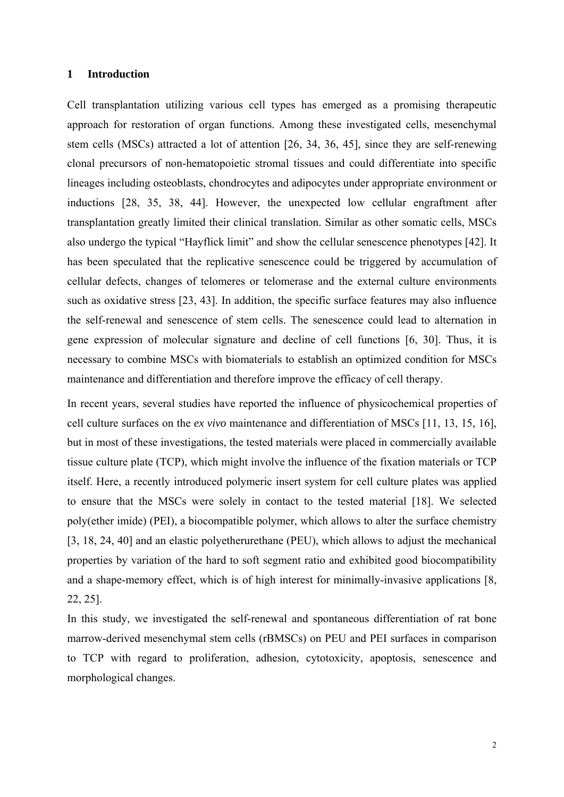#### **1 Introduction**

Cell transplantation utilizing various cell types has emerged as a promising therapeutic approach for restoration of organ functions. Among these investigated cells, mesenchymal stem cells (MSCs) attracted a lot of attention [26, 34, 36, 45], since they are self-renewing clonal precursors of non-hematopoietic stromal tissues and could differentiate into specific lineages including osteoblasts, chondrocytes and adipocytes under appropriate environment or inductions [28, 35, 38, 44]. However, the unexpected low cellular engraftment after transplantation greatly limited their clinical translation. Similar as other somatic cells, MSCs also undergo the typical "Hayflick limit" and show the cellular senescence phenotypes [42]. It has been speculated that the replicative senescence could be triggered by accumulation of cellular defects, changes of telomeres or telomerase and the external culture environments such as oxidative stress [23, 43]. In addition, the specific surface features may also influence the self-renewal and senescence of stem cells. The senescence could lead to alternation in gene expression of molecular signature and decline of cell functions [6, 30]. Thus, it is necessary to combine MSCs with biomaterials to establish an optimized condition for MSCs maintenance and differentiation and therefore improve the efficacy of cell therapy.

In recent years, several studies have reported the influence of physicochemical properties of cell culture surfaces on the *ex vivo* maintenance and differentiation of MSCs [11, 13, 15, 16], but in most of these investigations, the tested materials were placed in commercially available tissue culture plate (TCP), which might involve the influence of the fixation materials or TCP itself. Here, a recently introduced polymeric insert system for cell culture plates was applied to ensure that the MSCs were solely in contact to the tested material [18]. We selected poly(ether imide) (PEI), a biocompatible polymer, which allows to alter the surface chemistry [3, 18, 24, 40] and an elastic polyetherurethane (PEU), which allows to adjust the mechanical properties by variation of the hard to soft segment ratio and exhibited good biocompatibility and a shape-memory effect, which is of high interest for minimally-invasive applications [8, 22, 25].

In this study, we investigated the self-renewal and spontaneous differentiation of rat bone marrow-derived mesenchymal stem cells (rBMSCs) on PEU and PEI surfaces in comparison to TCP with regard to proliferation, adhesion, cytotoxicity, apoptosis, senescence and morphological changes.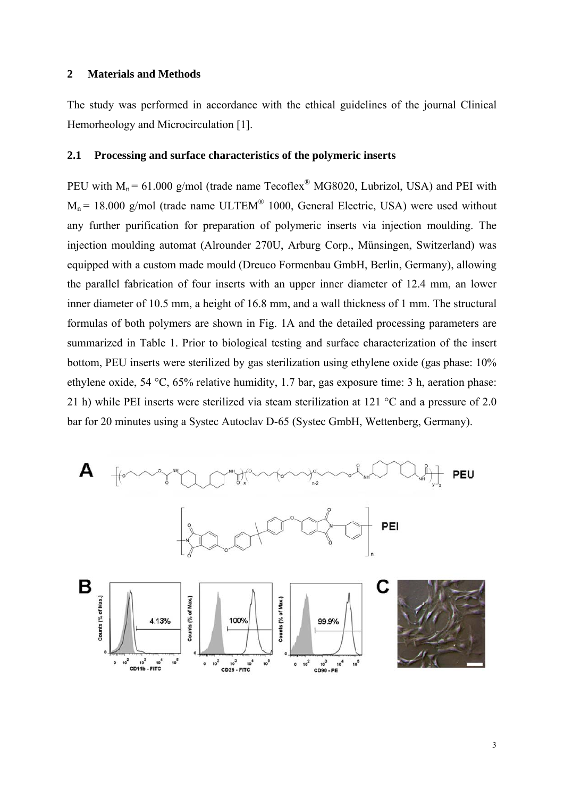## **2 Materials and Methods**

The study was performed in accordance with the ethical guidelines of the journal Clinical Hemorheology and Microcirculation [1].

## **2.1 Processing and surface characteristics of the polymeric inserts**

PEU with  $M_n = 61.000$  g/mol (trade name Tecoflex<sup>®</sup> MG8020, Lubrizol, USA) and PEI with  $M_n$  = 18.000 g/mol (trade name ULTEM<sup>®</sup> 1000, General Electric, USA) were used without any further purification for preparation of polymeric inserts via injection moulding. The injection moulding automat (Alrounder 270U, Arburg Corp., Münsingen, Switzerland) was equipped with a custom made mould (Dreuco Formenbau GmbH, Berlin, Germany), allowing the parallel fabrication of four inserts with an upper inner diameter of 12.4 mm, an lower inner diameter of 10.5 mm, a height of 16.8 mm, and a wall thickness of 1 mm. The structural formulas of both polymers are shown in Fig. 1A and the detailed processing parameters are summarized in Table 1. Prior to biological testing and surface characterization of the insert bottom, PEU inserts were sterilized by gas sterilization using ethylene oxide (gas phase: 10% ethylene oxide, 54 °C, 65% relative humidity, 1.7 bar, gas exposure time: 3 h, aeration phase: 21 h) while PEI inserts were sterilized via steam sterilization at 121 °C and a pressure of 2.0 bar for 20 minutes using a Systec Autoclav D-65 (Systec GmbH, Wettenberg, Germany).

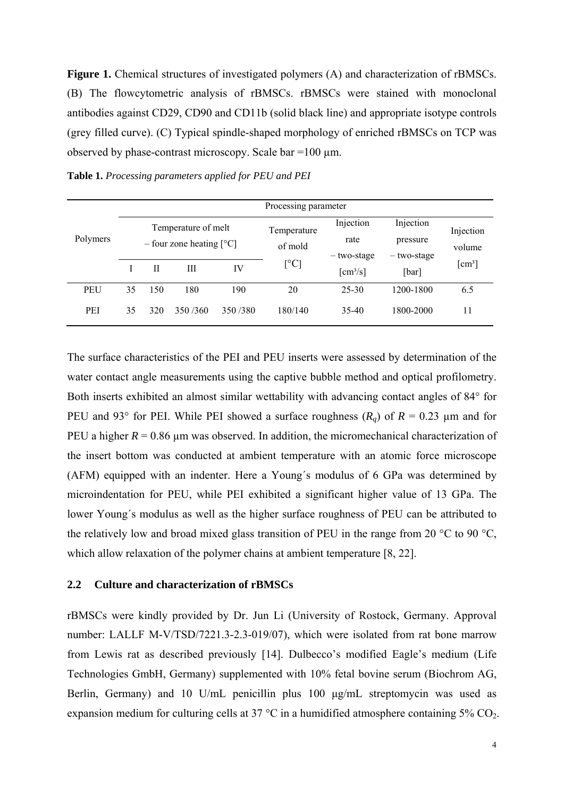**Figure 1.** Chemical structures of investigated polymers (A) and characterization of rBMSCs. (B) The flowcytometric analysis of rBMSCs. rBMSCs were stained with monoclonal antibodies against CD29, CD90 and CD11b (solid black line) and appropriate isotype controls (grey filled curve). (C) Typical spindle-shaped morphology of enriched rBMSCs on TCP was observed by phase-contrast microscopy. Scale bar =100 µm.

| Polymers   | Processing parameter                                     |     |         |                        |                                  |                                      |                     |           |  |
|------------|----------------------------------------------------------|-----|---------|------------------------|----------------------------------|--------------------------------------|---------------------|-----------|--|
|            | Temperature of melt<br>- four zone heating $[^{\circ}C]$ |     |         | Temperature<br>of mold | Injection<br>rate<br>- two-stage | Injection<br>pressure<br>- two-stage | Injection<br>volume |           |  |
|            |                                                          | H   | Ш       | IV                     | $[ ^{\circ}\mathrm{C}]$          | $\lceil$ cm <sup>3</sup> /s $\rceil$ | [bar]               | [ $cm3$ ] |  |
| <b>PEU</b> | 35                                                       | 150 | 180     | 190                    | 20                               | $25 - 30$                            | 1200-1800           | 6.5       |  |
| <b>PEI</b> | 35                                                       | 320 | 350/360 | 350/380                | 180/140                          | 35-40                                | 1800-2000           | 11        |  |

**Table 1.** *Processing parameters applied for PEU and PEI*

The surface characteristics of the PEI and PEU inserts were assessed by determination of the water contact angle measurements using the captive bubble method and optical profilometry. Both inserts exhibited an almost similar wettability with advancing contact angles of 84° for PEU and 93° for PEI. While PEI showed a surface roughness  $(R_q)$  of  $R = 0.23$  µm and for PEU a higher  $R = 0.86$  µm was observed. In addition, the micromechanical characterization of the insert bottom was conducted at ambient temperature with an atomic force microscope (AFM) equipped with an indenter. Here a Young´s modulus of 6 GPa was determined by microindentation for PEU, while PEI exhibited a significant higher value of 13 GPa. The lower Young´s modulus as well as the higher surface roughness of PEU can be attributed to the relatively low and broad mixed glass transition of PEU in the range from 20 °C to 90 °C, which allow relaxation of the polymer chains at ambient temperature [8, 22].

## **2.2 Culture and characterization of rBMSCs**

rBMSCs were kindly provided by Dr. Jun Li (University of Rostock, Germany. Approval number: LALLF M-V/TSD/7221.3-2.3-019/07), which were isolated from rat bone marrow from Lewis rat as described previously [14]. Dulbecco's modified Eagle's medium (Life Technologies GmbH, Germany) supplemented with 10% fetal bovine serum (Biochrom AG, Berlin, Germany) and 10 U/mL penicillin plus 100 μg/mL streptomycin was used as expansion medium for culturing cells at 37  $\degree$ C in a humidified atmosphere containing 5% CO<sub>2</sub>.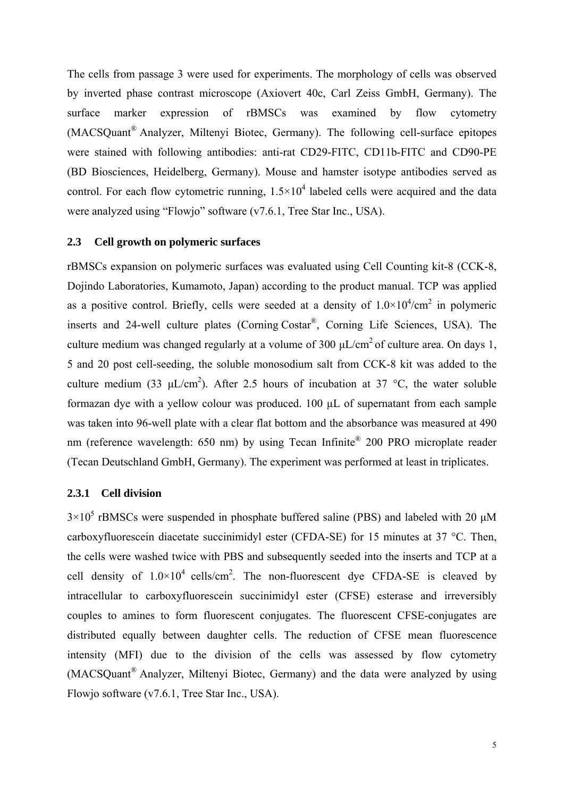The cells from passage 3 were used for experiments. The morphology of cells was observed by inverted phase contrast microscope (Axiovert 40c, Carl Zeiss GmbH, Germany). The surface marker expression of rBMSCs was examined by flow cytometry (MACSQuant® Analyzer, Miltenyi Biotec, Germany). The following cell-surface epitopes were stained with following antibodies: anti-rat CD29-FITC, CD11b-FITC and CD90-PE (BD Biosciences, Heidelberg, Germany). Mouse and hamster isotype antibodies served as control. For each flow cytometric running,  $1.5 \times 10^4$  labeled cells were acquired and the data were analyzed using "Flowjo" software (v7.6.1, Tree Star Inc., USA).

#### **2.3 Cell growth on polymeric surfaces**

rBMSCs expansion on polymeric surfaces was evaluated using Cell Counting kit-8 (CCK-8, Dojindo Laboratories, Kumamoto, Japan) according to the product manual. TCP was applied as a positive control. Briefly, cells were seeded at a density of  $1.0 \times 10^4/\text{cm}^2$  in polymeric inserts and 24-well culture plates (Corning Costar®, Corning Life Sciences, USA). The culture medium was changed regularly at a volume of 300  $\mu L/cm^2$  of culture area. On days 1, 5 and 20 post cell-seeding, the soluble monosodium salt from CCK-8 kit was added to the culture medium (33  $\mu$ L/cm<sup>2</sup>). After 2.5 hours of incubation at 37 °C, the water soluble formazan dye with a yellow colour was produced. 100 µL of supernatant from each sample was taken into 96-well plate with a clear flat bottom and the absorbance was measured at 490 nm (reference wavelength: 650 nm) by using Tecan Infinite® 200 PRO microplate reader (Tecan Deutschland GmbH, Germany). The experiment was performed at least in triplicates.

# **2.3.1 Cell division**

 $3 \times 10^5$  rBMSCs were suspended in phosphate buffered saline (PBS) and labeled with 20  $\mu$ M carboxyfluorescein diacetate succinimidyl ester (CFDA-SE) for 15 minutes at 37 °C. Then, the cells were washed twice with PBS and subsequently seeded into the inserts and TCP at a cell density of  $1.0 \times 10^4$  cells/cm<sup>2</sup>. The non-fluorescent dye CFDA-SE is cleaved by intracellular to carboxyfluorescein succinimidyl ester (CFSE) esterase and irreversibly couples to amines to form fluorescent conjugates. The fluorescent CFSE-conjugates are distributed equally between daughter cells. The reduction of CFSE mean fluorescence intensity (MFI) due to the division of the cells was assessed by flow cytometry (MACSQuant® Analyzer, Miltenyi Biotec, Germany) and the data were analyzed by using Flowjo software (v7.6.1, Tree Star Inc., USA).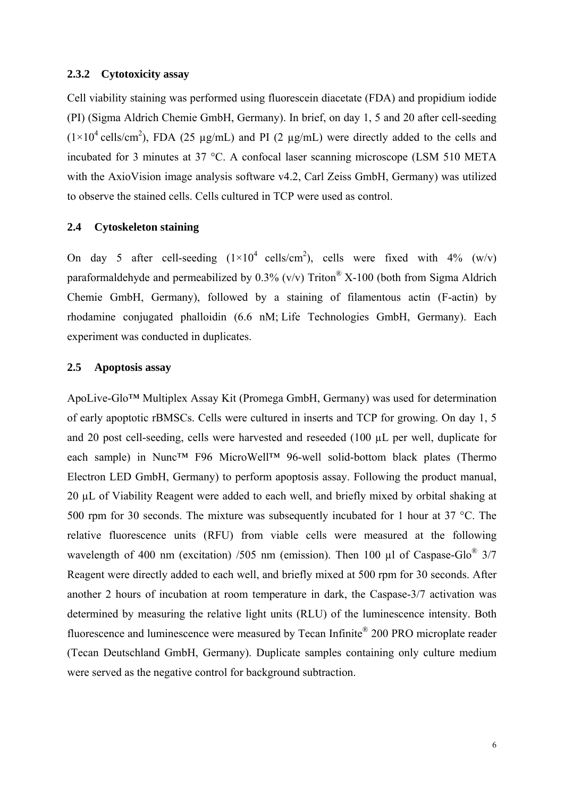#### **2.3.2 Cytotoxicity assay**

Cell viability staining was performed using fluorescein diacetate (FDA) and propidium iodide (PI) (Sigma Aldrich Chemie GmbH, Germany). In brief, on day 1, 5 and 20 after cell-seeding  $(1\times10^4 \text{ cells/cm}^2)$ , FDA (25 µg/mL) and PI (2 µg/mL) were directly added to the cells and incubated for 3 minutes at 37 °C. A confocal laser scanning microscope (LSM 510 META with the AxioVision image analysis software v4.2, Carl Zeiss GmbH, Germany) was utilized to observe the stained cells. Cells cultured in TCP were used as control.

# **2.4 Cytoskeleton staining**

On day 5 after cell-seeding  $(1 \times 10^4 \text{ cells/cm}^2)$ , cells were fixed with 4% (w/v) paraformaldehyde and permeabilized by  $0.3\%$  (v/v) Triton<sup>®</sup> X-100 (both from Sigma Aldrich Chemie GmbH, Germany), followed by a staining of filamentous actin (F-actin) by rhodamine conjugated phalloidin (6.6 nM; Life Technologies GmbH, Germany). Each experiment was conducted in duplicates.

# **2.5 Apoptosis assay**

ApoLive-Glo™ Multiplex Assay Kit (Promega GmbH, Germany) was used for determination of early apoptotic rBMSCs. Cells were cultured in inserts and TCP for growing. On day 1, 5 and 20 post cell-seeding, cells were harvested and reseeded (100 µL per well, duplicate for each sample) in Nunc<sup>™</sup> F96 MicroWell™ 96-well solid-bottom black plates (Thermo Electron LED GmbH, Germany) to perform apoptosis assay. Following the product manual, 20 µL of Viability Reagent were added to each well, and briefly mixed by orbital shaking at 500 rpm for 30 seconds. The mixture was subsequently incubated for 1 hour at 37 °C. The relative fluorescence units (RFU) from viable cells were measured at the following wavelength of 400 nm (excitation) /505 nm (emission). Then 100 µl of Caspase-Glo<sup>®</sup>  $3/7$ Reagent were directly added to each well, and briefly mixed at 500 rpm for 30 seconds. After another 2 hours of incubation at room temperature in dark, the Caspase-3/7 activation was determined by measuring the relative light units (RLU) of the luminescence intensity. Both fluorescence and luminescence were measured by Tecan Infinite® 200 PRO microplate reader (Tecan Deutschland GmbH, Germany). Duplicate samples containing only culture medium were served as the negative control for background subtraction.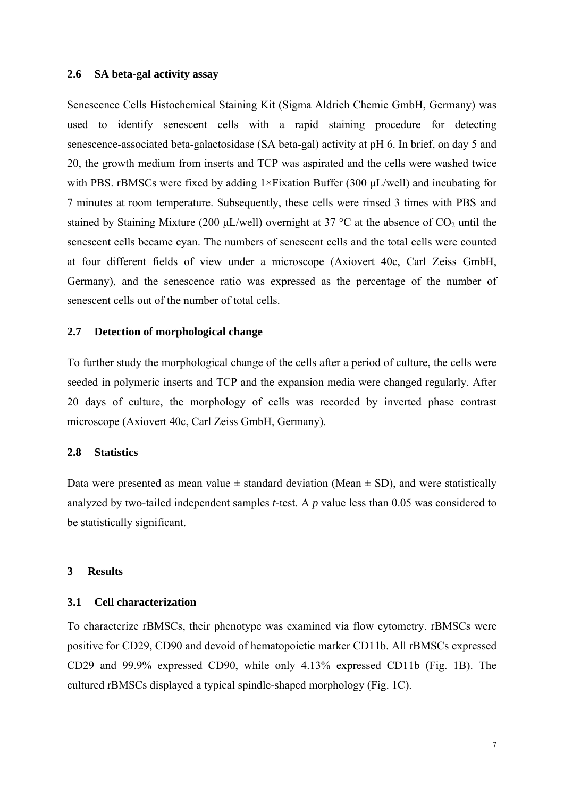#### **2.6 SA beta-gal activity assay**

Senescence Cells Histochemical Staining Kit (Sigma Aldrich Chemie GmbH, Germany) was used to identify senescent cells with a rapid staining procedure for detecting senescence-associated beta-galactosidase (SA beta-gal) activity at pH 6. In brief, on day 5 and 20, the growth medium from inserts and TCP was aspirated and the cells were washed twice with PBS. rBMSCs were fixed by adding 1×Fixation Buffer (300 μL/well) and incubating for 7 minutes at room temperature. Subsequently, these cells were rinsed 3 times with PBS and stained by Staining Mixture (200  $\mu$ L/well) overnight at 37 °C at the absence of CO<sub>2</sub> until the senescent cells became cyan. The numbers of senescent cells and the total cells were counted at four different fields of view under a microscope (Axiovert 40c, Carl Zeiss GmbH, Germany), and the senescence ratio was expressed as the percentage of the number of senescent cells out of the number of total cells.

#### **2.7 Detection of morphological change**

To further study the morphological change of the cells after a period of culture, the cells were seeded in polymeric inserts and TCP and the expansion media were changed regularly. After 20 days of culture, the morphology of cells was recorded by inverted phase contrast microscope (Axiovert 40c, Carl Zeiss GmbH, Germany).

## **2.8 Statistics**

Data were presented as mean value  $\pm$  standard deviation (Mean  $\pm$  SD), and were statistically analyzed by two-tailed independent samples *t*-test. A *p* value less than 0.05 was considered to be statistically significant.

#### **3 Results**

#### **3.1 Cell characterization**

To characterize rBMSCs, their phenotype was examined via flow cytometry. rBMSCs were positive for CD29, CD90 and devoid of hematopoietic marker CD11b. All rBMSCs expressed CD29 and 99.9% expressed CD90, while only 4.13% expressed CD11b (Fig. 1B). The cultured rBMSCs displayed a typical spindle-shaped morphology (Fig. 1C).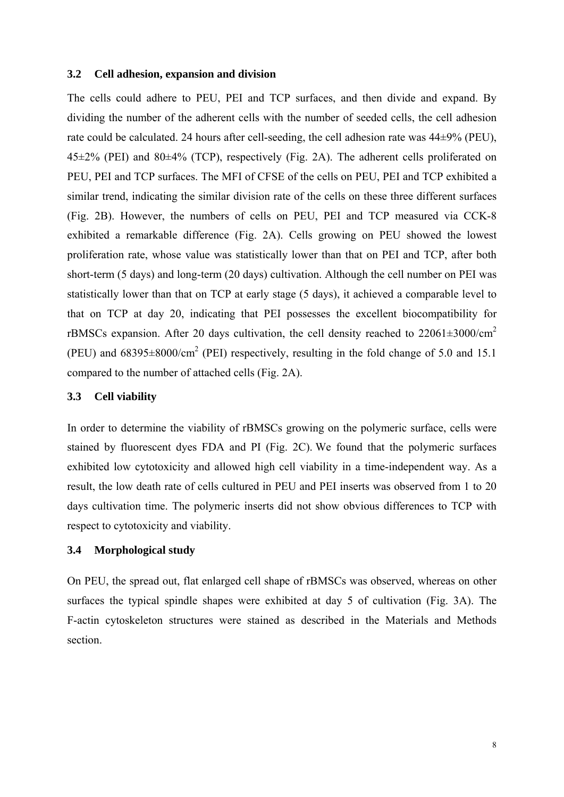#### **3.2 Cell adhesion, expansion and division**

The cells could adhere to PEU, PEI and TCP surfaces, and then divide and expand. By dividing the number of the adherent cells with the number of seeded cells, the cell adhesion rate could be calculated. 24 hours after cell-seeding, the cell adhesion rate was 44±9% (PEU),  $45\pm2\%$  (PEI) and  $80\pm4\%$  (TCP), respectively (Fig. 2A). The adherent cells proliferated on PEU, PEI and TCP surfaces. The MFI of CFSE of the cells on PEU, PEI and TCP exhibited a similar trend, indicating the similar division rate of the cells on these three different surfaces (Fig. 2B). However, the numbers of cells on PEU, PEI and TCP measured via CCK-8 exhibited a remarkable difference (Fig. 2A). Cells growing on PEU showed the lowest proliferation rate, whose value was statistically lower than that on PEI and TCP, after both short-term (5 days) and long-term (20 days) cultivation. Although the cell number on PEI was statistically lower than that on TCP at early stage (5 days), it achieved a comparable level to that on TCP at day 20, indicating that PEI possesses the excellent biocompatibility for rBMSCs expansion. After 20 days cultivation, the cell density reached to  $22061\pm3000/cm^2$ (PEU) and  $68395 \pm 8000/cm^2$  (PEI) respectively, resulting in the fold change of 5.0 and 15.1 compared to the number of attached cells (Fig. 2A).

#### **3.3 Cell viability**

In order to determine the viability of rBMSCs growing on the polymeric surface, cells were stained by fluorescent dyes FDA and PI (Fig. 2C). We found that the polymeric surfaces exhibited low cytotoxicity and allowed high cell viability in a time-independent way. As a result, the low death rate of cells cultured in PEU and PEI inserts was observed from 1 to 20 days cultivation time. The polymeric inserts did not show obvious differences to TCP with respect to cytotoxicity and viability.

## **3.4 Morphological study**

On PEU, the spread out, flat enlarged cell shape of rBMSCs was observed, whereas on other surfaces the typical spindle shapes were exhibited at day 5 of cultivation (Fig. 3A). The F-actin cytoskeleton structures were stained as described in the Materials and Methods section.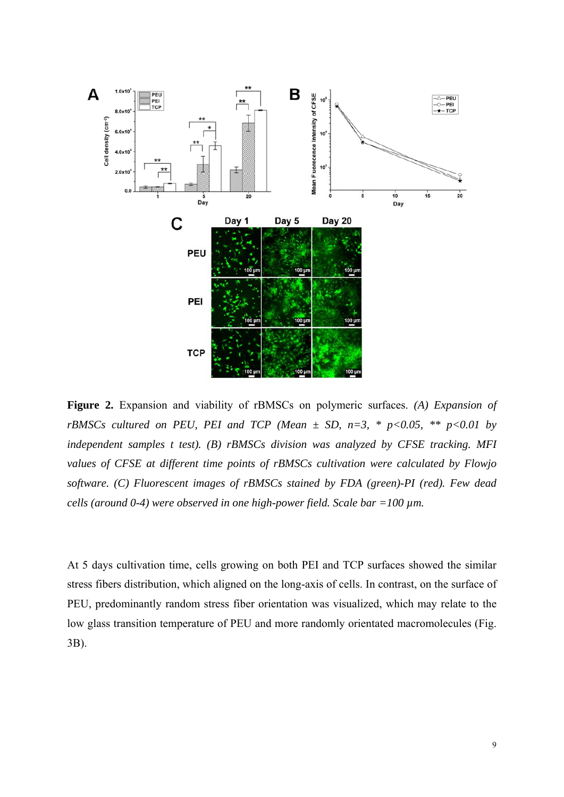

**Figure 2.** Expansion and viability of rBMSCs on polymeric surfaces. *(A) Expansion of rBMSCs cultured on PEU, PEI and TCP (Mean*  $\pm$  *SD, n=3, \* p<0.05, \*\* p<0.01 by independent samples t test). (B) rBMSCs division was analyzed by CFSE tracking. MFI values of CFSE at different time points of rBMSCs cultivation were calculated by Flowjo software. (C) Fluorescent images of rBMSCs stained by FDA (green)-PI (red). Few dead cells (around 0-4) were observed in one high-power field. Scale bar =100 µm.* 

At 5 days cultivation time, cells growing on both PEI and TCP surfaces showed the similar stress fibers distribution, which aligned on the long-axis of cells. In contrast, on the surface of PEU, predominantly random stress fiber orientation was visualized, which may relate to the low glass transition temperature of PEU and more randomly orientated macromolecules (Fig. 3B).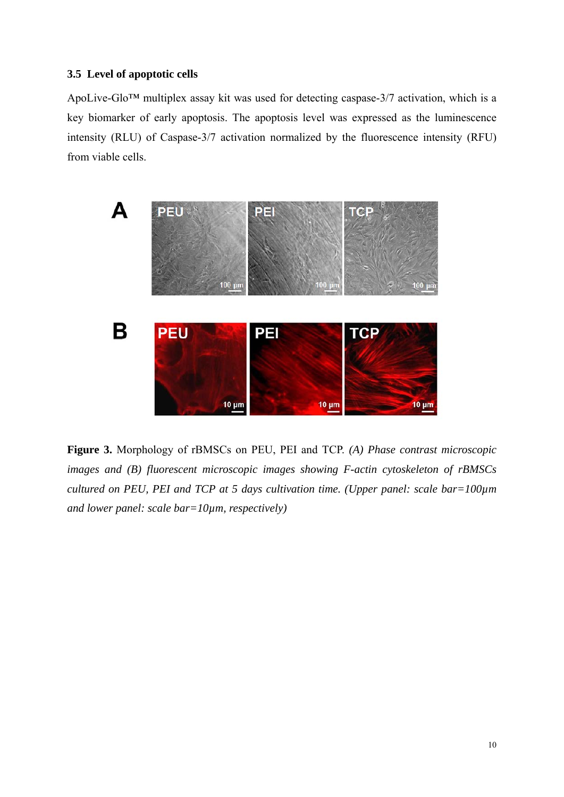# **3.5 Level of apoptotic cells**

ApoLive-Glo™ multiplex assay kit was used for detecting caspase-3/7 activation, which is a key biomarker of early apoptosis. The apoptosis level was expressed as the luminescence intensity (RLU) of Caspase-3/7 activation normalized by the fluorescence intensity (RFU) from viable cells.



**Figure 3.** Morphology of rBMSCs on PEU, PEI and TCP. *(A) Phase contrast microscopic images and (B) fluorescent microscopic images showing F-actin cytoskeleton of rBMSCs cultured on PEU, PEI and TCP at 5 days cultivation time. (Upper panel: scale bar=100µm and lower panel: scale bar=10µm, respectively)*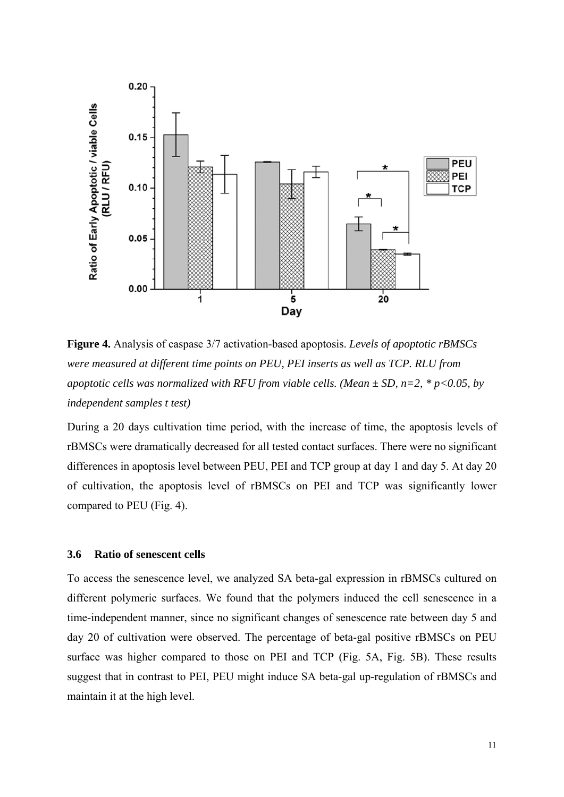

**Figure 4.** Analysis of caspase 3/7 activation-based apoptosis. *Levels of apoptotic rBMSCs were measured at different time points on PEU, PEI inserts as well as TCP. RLU from apoptotic cells was normalized with RFU from viable cells. (Mean*  $\pm$  *SD, n=2, \* p<0.05, by independent samples t test)*

During a 20 days cultivation time period, with the increase of time, the apoptosis levels of rBMSCs were dramatically decreased for all tested contact surfaces. There were no significant differences in apoptosis level between PEU, PEI and TCP group at day 1 and day 5. At day 20 of cultivation, the apoptosis level of rBMSCs on PEI and TCP was significantly lower compared to PEU (Fig. 4).

## **3.6 Ratio of senescent cells**

To access the senescence level, we analyzed SA beta-gal expression in rBMSCs cultured on different polymeric surfaces. We found that the polymers induced the cell senescence in a time-independent manner, since no significant changes of senescence rate between day 5 and day 20 of cultivation were observed. The percentage of beta-gal positive rBMSCs on PEU surface was higher compared to those on PEI and TCP (Fig. 5A, Fig. 5B). These results suggest that in contrast to PEI, PEU might induce SA beta-gal up-regulation of rBMSCs and maintain it at the high level.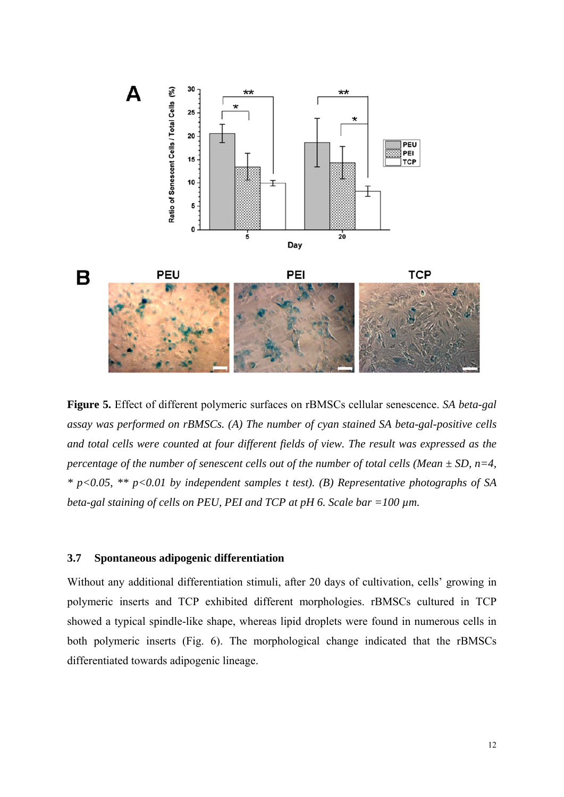

**Figure 5.** Effect of different polymeric surfaces on rBMSCs cellular senescence. *SA beta-gal assay was performed on rBMSCs. (A) The number of cyan stained SA beta-gal-positive cells and total cells were counted at four different fields of view. The result was expressed as the percentage of the number of senescent cells out of the number of total cells (Mean ± SD, n=4, \* p<0.05, \*\* p<0.01 by independent samples t test). (B) Representative photographs of SA beta-gal staining of cells on PEU, PEI and TCP at pH 6. Scale bar =100 µm.*

## **3.7 Spontaneous adipogenic differentiation**

Without any additional differentiation stimuli, after 20 days of cultivation, cells' growing in polymeric inserts and TCP exhibited different morphologies. rBMSCs cultured in TCP showed a typical spindle-like shape, whereas lipid droplets were found in numerous cells in both polymeric inserts (Fig. 6). The morphological change indicated that the rBMSCs differentiated towards adipogenic lineage.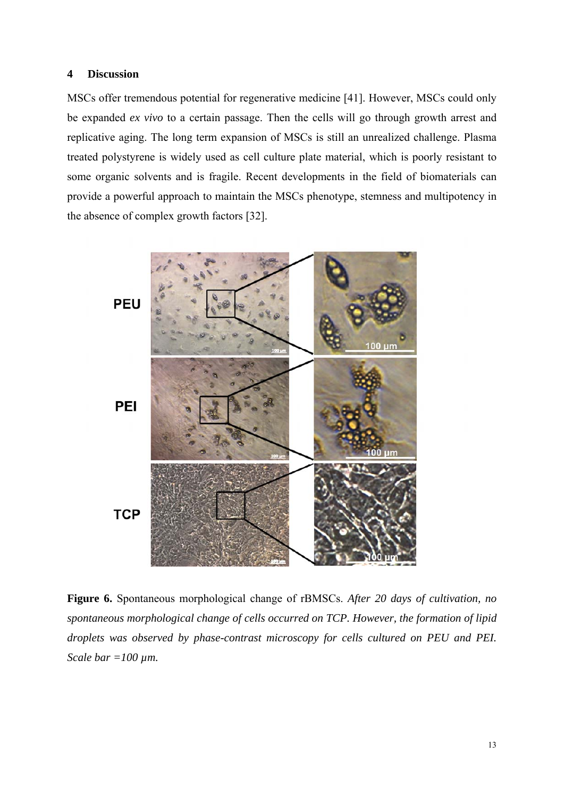## **4 Discussion**

MSCs offer tremendous potential for regenerative medicine [41]. However, MSCs could only be expanded *ex vivo* to a certain passage. Then the cells will go through growth arrest and replicative aging. The long term expansion of MSCs is still an unrealized challenge. Plasma treated polystyrene is widely used as cell culture plate material, which is poorly resistant to some organic solvents and is fragile. Recent developments in the field of biomaterials can provide a powerful approach to maintain the MSCs phenotype, stemness and multipotency in the absence of complex growth factors [32].



**Figure 6.** Spontaneous morphological change of rBMSCs. *After 20 days of cultivation, no spontaneous morphological change of cells occurred on TCP. However, the formation of lipid droplets was observed by phase-contrast microscopy for cells cultured on PEU and PEI. Scale bar =100 µm.*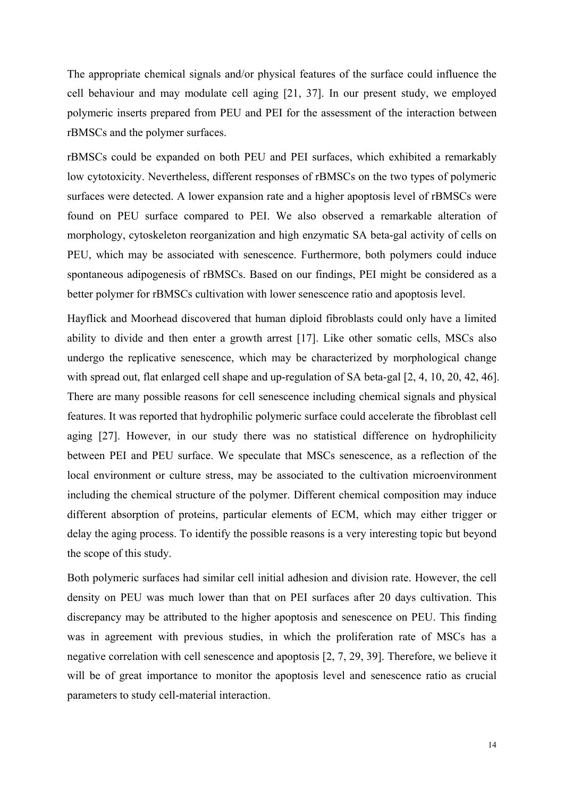The appropriate chemical signals and/or physical features of the surface could influence the cell behaviour and may modulate cell aging [21, 37]. In our present study, we employed polymeric inserts prepared from PEU and PEI for the assessment of the interaction between rBMSCs and the polymer surfaces.

rBMSCs could be expanded on both PEU and PEI surfaces, which exhibited a remarkably low cytotoxicity. Nevertheless, different responses of rBMSCs on the two types of polymeric surfaces were detected. A lower expansion rate and a higher apoptosis level of rBMSCs were found on PEU surface compared to PEI. We also observed a remarkable alteration of morphology, cytoskeleton reorganization and high enzymatic SA beta-gal activity of cells on PEU, which may be associated with senescence. Furthermore, both polymers could induce spontaneous adipogenesis of rBMSCs. Based on our findings, PEI might be considered as a better polymer for rBMSCs cultivation with lower senescence ratio and apoptosis level.

Hayflick and Moorhead discovered that human diploid fibroblasts could only have a limited ability to divide and then enter a growth arrest [17]. Like other somatic cells, MSCs also undergo the replicative senescence, which may be characterized by morphological change with spread out, flat enlarged cell shape and up-regulation of SA beta-gal [2, 4, 10, 20, 42, 46]. There are many possible reasons for cell senescence including chemical signals and physical features. It was reported that hydrophilic polymeric surface could accelerate the fibroblast cell aging [27]. However, in our study there was no statistical difference on hydrophilicity between PEI and PEU surface. We speculate that MSCs senescence, as a reflection of the local environment or culture stress, may be associated to the cultivation microenvironment including the chemical structure of the polymer. Different chemical composition may induce different absorption of proteins, particular elements of ECM, which may either trigger or delay the aging process. To identify the possible reasons is a very interesting topic but beyond the scope of this study.

Both polymeric surfaces had similar cell initial adhesion and division rate. However, the cell density on PEU was much lower than that on PEI surfaces after 20 days cultivation. This discrepancy may be attributed to the higher apoptosis and senescence on PEU. This finding was in agreement with previous studies, in which the proliferation rate of MSCs has a negative correlation with cell senescence and apoptosis [2, 7, 29, 39]. Therefore, we believe it will be of great importance to monitor the apoptosis level and senescence ratio as crucial parameters to study cell-material interaction.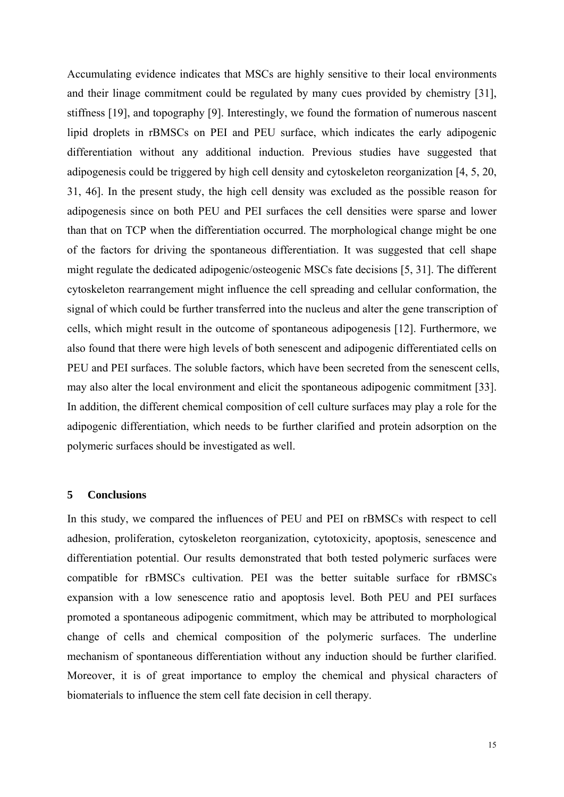Accumulating evidence indicates that MSCs are highly sensitive to their local environments and their linage commitment could be regulated by many cues provided by chemistry [31], stiffness [19], and topography [9]. Interestingly, we found the formation of numerous nascent lipid droplets in rBMSCs on PEI and PEU surface, which indicates the early adipogenic differentiation without any additional induction. Previous studies have suggested that adipogenesis could be triggered by high cell density and cytoskeleton reorganization [4, 5, 20, 31, 46]. In the present study, the high cell density was excluded as the possible reason for adipogenesis since on both PEU and PEI surfaces the cell densities were sparse and lower than that on TCP when the differentiation occurred. The morphological change might be one of the factors for driving the spontaneous differentiation. It was suggested that cell shape might regulate the dedicated adipogenic/osteogenic MSCs fate decisions [5, 31]. The different cytoskeleton rearrangement might influence the cell spreading and cellular conformation, the signal of which could be further transferred into the nucleus and alter the gene transcription of cells, which might result in the outcome of spontaneous adipogenesis [12]. Furthermore, we also found that there were high levels of both senescent and adipogenic differentiated cells on PEU and PEI surfaces. The soluble factors, which have been secreted from the senescent cells, may also alter the local environment and elicit the spontaneous adipogenic commitment [33]. In addition, the different chemical composition of cell culture surfaces may play a role for the adipogenic differentiation, which needs to be further clarified and protein adsorption on the polymeric surfaces should be investigated as well.

## **5 Conclusions**

In this study, we compared the influences of PEU and PEI on rBMSCs with respect to cell adhesion, proliferation, cytoskeleton reorganization, cytotoxicity, apoptosis, senescence and differentiation potential. Our results demonstrated that both tested polymeric surfaces were compatible for rBMSCs cultivation. PEI was the better suitable surface for rBMSCs expansion with a low senescence ratio and apoptosis level. Both PEU and PEI surfaces promoted a spontaneous adipogenic commitment, which may be attributed to morphological change of cells and chemical composition of the polymeric surfaces. The underline mechanism of spontaneous differentiation without any induction should be further clarified. Moreover, it is of great importance to employ the chemical and physical characters of biomaterials to influence the stem cell fate decision in cell therapy.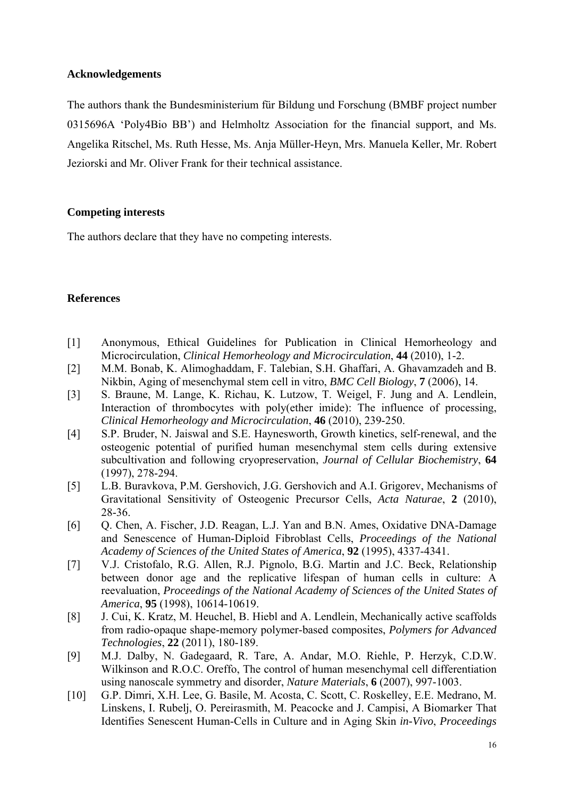# **Acknowledgements**

The authors thank the Bundesministerium für Bildung und Forschung (BMBF project number 0315696A 'Poly4Bio BB') and Helmholtz Association for the financial support, and Ms. Angelika Ritschel, Ms. Ruth Hesse, Ms. Anja Müller-Heyn, Mrs. Manuela Keller, Mr. Robert Jeziorski and Mr. Oliver Frank for their technical assistance.

# **Competing interests**

The authors declare that they have no competing interests.

# **References**

- [1] Anonymous, Ethical Guidelines for Publication in Clinical Hemorheology and Microcirculation, *Clinical Hemorheology and Microcirculation*, **44** (2010), 1-2.
- [2] M.M. Bonab, K. Alimoghaddam, F. Talebian, S.H. Ghaffari, A. Ghavamzadeh and B. Nikbin, Aging of mesenchymal stem cell in vitro, *BMC Cell Biology*, **7** (2006), 14.
- [3] S. Braune, M. Lange, K. Richau, K. Lutzow, T. Weigel, F. Jung and A. Lendlein, Interaction of thrombocytes with poly(ether imide): The influence of processing, *Clinical Hemorheology and Microcirculation*, **46** (2010), 239-250.
- [4] S.P. Bruder, N. Jaiswal and S.E. Haynesworth, Growth kinetics, self-renewal, and the osteogenic potential of purified human mesenchymal stem cells during extensive subcultivation and following cryopreservation, *Journal of Cellular Biochemistry*, **64** (1997), 278-294.
- [5] L.B. Buravkova, P.M. Gershovich, J.G. Gershovich and A.I. Grigorev, Mechanisms of Gravitational Sensitivity of Osteogenic Precursor Cells, *Acta Naturae*, **2** (2010), 28-36.
- [6] Q. Chen, A. Fischer, J.D. Reagan, L.J. Yan and B.N. Ames, Oxidative DNA-Damage and Senescence of Human-Diploid Fibroblast Cells, *Proceedings of the National Academy of Sciences of the United States of America*, **92** (1995), 4337-4341.
- [7] V.J. Cristofalo, R.G. Allen, R.J. Pignolo, B.G. Martin and J.C. Beck, Relationship between donor age and the replicative lifespan of human cells in culture: A reevaluation, *Proceedings of the National Academy of Sciences of the United States of America*, **95** (1998), 10614-10619.
- [8] J. Cui, K. Kratz, M. Heuchel, B. Hiebl and A. Lendlein, Mechanically active scaffolds from radio-opaque shape-memory polymer-based composites, *Polymers for Advanced Technologies*, **22** (2011), 180-189.
- [9] M.J. Dalby, N. Gadegaard, R. Tare, A. Andar, M.O. Riehle, P. Herzyk, C.D.W. Wilkinson and R.O.C. Oreffo, The control of human mesenchymal cell differentiation using nanoscale symmetry and disorder, *Nature Materials*, **6** (2007), 997-1003.
- [10] G.P. Dimri, X.H. Lee, G. Basile, M. Acosta, C. Scott, C. Roskelley, E.E. Medrano, M. Linskens, I. Rubelj, O. Pereirasmith, M. Peacocke and J. Campisi, A Biomarker That Identifies Senescent Human-Cells in Culture and in Aging Skin *in-Vivo*, *Proceedings*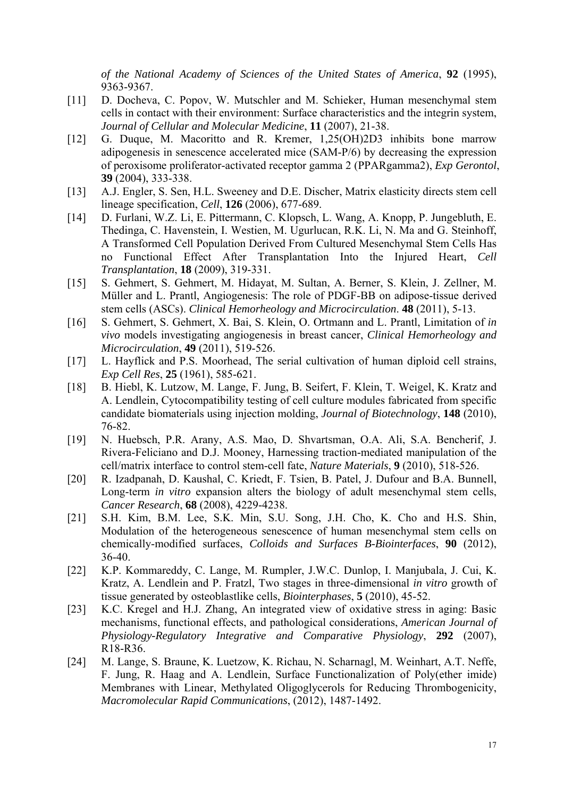*of the National Academy of Sciences of the United States of America*, **92** (1995), 9363-9367.

- [11] D. Docheva, C. Popov, W. Mutschler and M. Schieker, Human mesenchymal stem cells in contact with their environment: Surface characteristics and the integrin system, *Journal of Cellular and Molecular Medicine*, **11** (2007), 21-38.
- [12] G. Duque, M. Macoritto and R. Kremer, 1,25(OH)2D3 inhibits bone marrow adipogenesis in senescence accelerated mice (SAM-P/6) by decreasing the expression of peroxisome proliferator-activated receptor gamma 2 (PPARgamma2), *Exp Gerontol*, **39** (2004), 333-338.
- [13] A.J. Engler, S. Sen, H.L. Sweeney and D.E. Discher, Matrix elasticity directs stem cell lineage specification, *Cell*, **126** (2006), 677-689.
- [14] D. Furlani, W.Z. Li, E. Pittermann, C. Klopsch, L. Wang, A. Knopp, P. Jungebluth, E. Thedinga, C. Havenstein, I. Westien, M. Ugurlucan, R.K. Li, N. Ma and G. Steinhoff, A Transformed Cell Population Derived From Cultured Mesenchymal Stem Cells Has no Functional Effect After Transplantation Into the Injured Heart, *Cell Transplantation*, **18** (2009), 319-331.
- [15] S. Gehmert, S. Gehmert, M. Hidayat, M. Sultan, A. Berner, S. Klein, J. Zellner, M. Müller and L. Prantl, Angiogenesis: The role of PDGF-BB on adipose-tissue derived stem cells (ASCs). *Clinical Hemorheology and Microcirculation*. **48** (2011), 5-13.
- [16] S. Gehmert, S. Gehmert, X. Bai, S. Klein, O. Ortmann and L. Prantl, Limitation of *in vivo* models investigating angiogenesis in breast cancer, *Clinical Hemorheology and Microcirculation*, **49** (2011), 519-526.
- [17] L. Hayflick and P.S. Moorhead, The serial cultivation of human diploid cell strains, *Exp Cell Res*, **25** (1961), 585-621.
- [18] B. Hiebl, K. Lutzow, M. Lange, F. Jung, B. Seifert, F. Klein, T. Weigel, K. Kratz and A. Lendlein, Cytocompatibility testing of cell culture modules fabricated from specific candidate biomaterials using injection molding, *Journal of Biotechnology*, **148** (2010), 76-82.
- [19] N. Huebsch, P.R. Arany, A.S. Mao, D. Shvartsman, O.A. Ali, S.A. Bencherif, J. Rivera-Feliciano and D.J. Mooney, Harnessing traction-mediated manipulation of the cell/matrix interface to control stem-cell fate, *Nature Materials*, **9** (2010), 518-526.
- [20] R. Izadpanah, D. Kaushal, C. Kriedt, F. Tsien, B. Patel, J. Dufour and B.A. Bunnell, Long-term *in vitro* expansion alters the biology of adult mesenchymal stem cells, *Cancer Research*, **68** (2008), 4229-4238.
- [21] S.H. Kim, B.M. Lee, S.K. Min, S.U. Song, J.H. Cho, K. Cho and H.S. Shin, Modulation of the heterogeneous senescence of human mesenchymal stem cells on chemically-modified surfaces, *Colloids and Surfaces B-Biointerfaces*, **90** (2012), 36-40.
- [22] K.P. Kommareddy, C. Lange, M. Rumpler, J.W.C. Dunlop, I. Manjubala, J. Cui, K. Kratz, A. Lendlein and P. Fratzl, Two stages in three-dimensional *in vitro* growth of tissue generated by osteoblastlike cells, *Biointerphases*, **5** (2010), 45-52.
- [23] K.C. Kregel and H.J. Zhang, An integrated view of oxidative stress in aging: Basic mechanisms, functional effects, and pathological considerations, *American Journal of Physiology-Regulatory Integrative and Comparative Physiology*, **292** (2007), R18-R36.
- [24] M. Lange, S. Braune, K. Luetzow, K. Richau, N. Scharnagl, M. Weinhart, A.T. Neffe, F. Jung, R. Haag and A. Lendlein, Surface Functionalization of Poly(ether imide) Membranes with Linear, Methylated Oligoglycerols for Reducing Thrombogenicity, *Macromolecular Rapid Communications*, (2012), 1487-1492.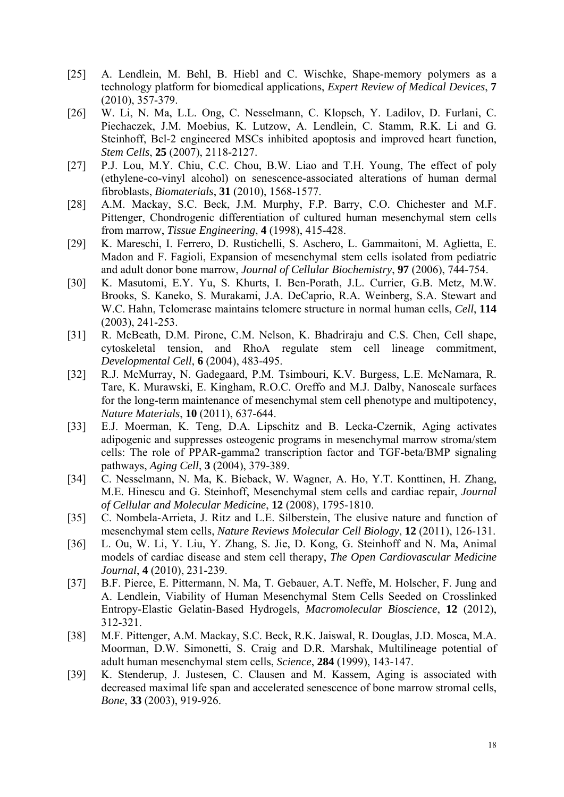- [25] A. Lendlein, M. Behl, B. Hiebl and C. Wischke, Shape-memory polymers as a technology platform for biomedical applications, *Expert Review of Medical Devices*, **7** (2010), 357-379.
- [26] W. Li, N. Ma, L.L. Ong, C. Nesselmann, C. Klopsch, Y. Ladilov, D. Furlani, C. Piechaczek, J.M. Moebius, K. Lutzow, A. Lendlein, C. Stamm, R.K. Li and G. Steinhoff, Bcl-2 engineered MSCs inhibited apoptosis and improved heart function, *Stem Cells*, **25** (2007), 2118-2127.
- [27] P.J. Lou, M.Y. Chiu, C.C. Chou, B.W. Liao and T.H. Young, The effect of poly (ethylene-co-vinyl alcohol) on senescence-associated alterations of human dermal fibroblasts, *Biomaterials*, **31** (2010), 1568-1577.
- [28] A.M. Mackay, S.C. Beck, J.M. Murphy, F.P. Barry, C.O. Chichester and M.F. Pittenger, Chondrogenic differentiation of cultured human mesenchymal stem cells from marrow, *Tissue Engineering*, **4** (1998), 415-428.
- [29] K. Mareschi, I. Ferrero, D. Rustichelli, S. Aschero, L. Gammaitoni, M. Aglietta, E. Madon and F. Fagioli, Expansion of mesenchymal stem cells isolated from pediatric and adult donor bone marrow, *Journal of Cellular Biochemistry*, **97** (2006), 744-754.
- [30] K. Masutomi, E.Y. Yu, S. Khurts, I. Ben-Porath, J.L. Currier, G.B. Metz, M.W. Brooks, S. Kaneko, S. Murakami, J.A. DeCaprio, R.A. Weinberg, S.A. Stewart and W.C. Hahn, Telomerase maintains telomere structure in normal human cells, *Cell*, **114** (2003), 241-253.
- [31] R. McBeath, D.M. Pirone, C.M. Nelson, K. Bhadriraju and C.S. Chen, Cell shape, cytoskeletal tension, and RhoA regulate stem cell lineage commitment, *Developmental Cell*, **6** (2004), 483-495.
- [32] R.J. McMurray, N. Gadegaard, P.M. Tsimbouri, K.V. Burgess, L.E. McNamara, R. Tare, K. Murawski, E. Kingham, R.O.C. Oreffo and M.J. Dalby, Nanoscale surfaces for the long-term maintenance of mesenchymal stem cell phenotype and multipotency, *Nature Materials*, **10** (2011), 637-644.
- [33] E.J. Moerman, K. Teng, D.A. Lipschitz and B. Lecka-Czernik, Aging activates adipogenic and suppresses osteogenic programs in mesenchymal marrow stroma/stem cells: The role of PPAR-gamma2 transcription factor and TGF-beta/BMP signaling pathways, *Aging Cell*, **3** (2004), 379-389.
- [34] C. Nesselmann, N. Ma, K. Bieback, W. Wagner, A. Ho, Y.T. Konttinen, H. Zhang, M.E. Hinescu and G. Steinhoff, Mesenchymal stem cells and cardiac repair, *Journal of Cellular and Molecular Medicine*, **12** (2008), 1795-1810.
- [35] C. Nombela-Arrieta, J. Ritz and L.E. Silberstein, The elusive nature and function of mesenchymal stem cells, *Nature Reviews Molecular Cell Biology*, **12** (2011), 126-131.
- [36] L. Ou, W. Li, Y. Liu, Y. Zhang, S. Jie, D. Kong, G. Steinhoff and N. Ma, Animal models of cardiac disease and stem cell therapy, *The Open Cardiovascular Medicine Journal*, **4** (2010), 231-239.
- [37] B.F. Pierce, E. Pittermann, N. Ma, T. Gebauer, A.T. Neffe, M. Holscher, F. Jung and A. Lendlein, Viability of Human Mesenchymal Stem Cells Seeded on Crosslinked Entropy-Elastic Gelatin-Based Hydrogels, *Macromolecular Bioscience*, **12** (2012), 312-321.
- [38] M.F. Pittenger, A.M. Mackay, S.C. Beck, R.K. Jaiswal, R. Douglas, J.D. Mosca, M.A. Moorman, D.W. Simonetti, S. Craig and D.R. Marshak, Multilineage potential of adult human mesenchymal stem cells, *Science*, **284** (1999), 143-147.
- [39] K. Stenderup, J. Justesen, C. Clausen and M. Kassem, Aging is associated with decreased maximal life span and accelerated senescence of bone marrow stromal cells, *Bone*, **33** (2003), 919-926.